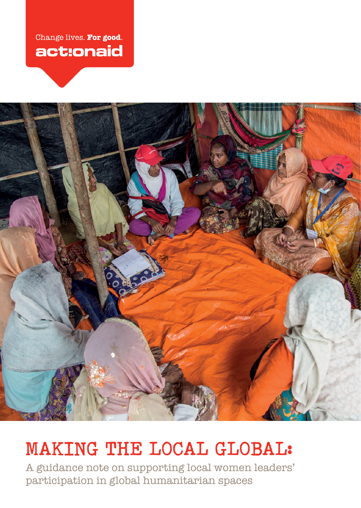## Change lives. For good. act:onaid



# **MAKING THE LOCAL GLOBAL:**

A guidance note on supporting local women leaders' participation in global humanitarian spaces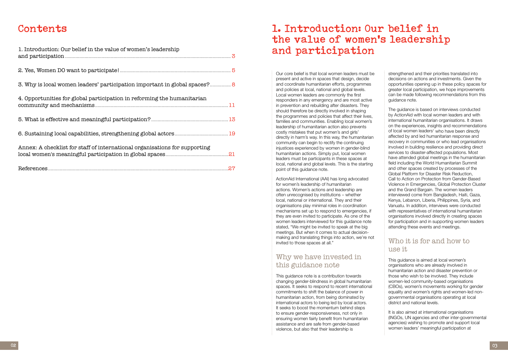## **Contents**

| 1. Introduction: Our belief in the value of women's leadership             |  |
|----------------------------------------------------------------------------|--|
|                                                                            |  |
| 3. Why is local women leaders' participation important in global spaces? 8 |  |
| 4. Opportunities for global participation in reforming the humanitarian    |  |
|                                                                            |  |
|                                                                            |  |
| Annex: A checklist for staff of international organisations for supporting |  |
|                                                                            |  |

## **1. Introduction: Our belief in the value of women's leadership and participation**

Our core belief is that local women leaders must be present and active in spaces that design, decide and coordinate humanitarian efforts, programmes and policies at local, national and global levels. Local women leaders are commonly the first responders in any emergency and are most active in prevention and rebuilding after disasters. They should therefore be directly involved in shaping the programmes and policies that affect their lives, families and communities. Enabling local women's leadership of humanitarian action also prevents costly mistakes that put women's and girls' directly in harm's way. In this way, the humanitarian community can begin to rectify the continuing injustices experienced by women in gender-blind humanitarian actions. Simply put, local women leaders must be participants in these spaces at local, national and global levels. This is the starting point of this guidance note.

### Who it is for and how to use it

ActionAid International (AAI) has long advocated for women's leadership of humanitarian actions. Women's actions and leadership are often unrecognised by institutions – whether local, national or international. They and their organisations play minimal roles in coordination mechanisms set up to respond to emergencies, if they are even invited to participate. As one of the women leaders interviewed for this guidance note stated, "We might be invited to speak at the big meetings. But when it comes to actual decisionmaking and translating things into action, we're not invited to those spaces at all."

## Why we have invested in this guidance note

This guidance note is a contribution towards changing gender-blindness in global humanitarian spaces. It seeks to respond to recent international commitments to shift the balance of power in humanitarian action, from being dominated by international actors to being led by local actors. It seeks to boost the momentum behind steps to ensure gender-responsiveness, not only in ensuring women fairly benefit from humanitarian assistance and are safe from gender-based violence, but also that their leadership is

strengthened and their priorities translated into decisions on actions and investments. Given the opportunities opening up in these policy spaces for greater local participation, we hope improvements can be made following recommendations from this guidance note.

The guidance is based on interviews conducted by ActionAid with local women leaders and with international humanitarian organisations. It draws on the experiences, insights and recommendations of local women leaders<sup>1</sup> who have been directly affected by and led humanitarian response and recovery in communities or who lead organisations involved in building resilience and providing direct services to disaster-affected populations. Most have attended global meetings in the humanitarian field including the World Humanitarian Summit and other spaces created by processes of the Global Platform for Disaster Risk Reduction, Call to Action on Protection from Gender-Based Violence in Emergencies, Global Protection Cluster and the Grand Bargain. The women leaders interviewed come from Bangladesh, Haiti, Gaza, Kenya, Lebanon, Liberia, Philippines, Syria, and Vanuatu. In addition, interviews were conducted with representatives of international humanitarian organisations involved directly in creating spaces for participation and in supporting women leaders attending these events and meetings.

This guidance is aimed at local women's organisations who are already involved in humanitarian action and disaster prevention or those who wish to be involved. They include women-led community-based organisations (CBOs), women's movements working for gender equality and women's rights and women-led nongovernmental organisations operating at local district and national levels.

It is also aimed at international organisations (INGOs, UN agencies and other inter-governmental agencies) wishing to promote and support local women leaders' meaningful participation at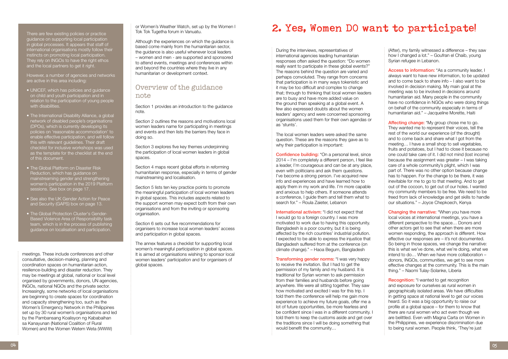meetings. These include conferences and other consultative, decision-making, planning and coordination spaces on humanitarian action, resilience-building and disaster reduction. They may be meetings at global, national or local level organised by governments, donors, UN agencies, INGOs, national NGOs and the private sector. Increasingly, some networks of local organisations are beginning to create spaces for coordination and capacity strengthening too, such as the Women's Emergency Network in the Philippines set up by 30 rural women's organisations and led by the Pambansang Koalisyon ng Kababaihan sa Kanayunan (National Coalition of Rural Women) and the Women Wetem Weta (WWW)

or Women's Weather Watch, set up by the Women I Tok Tok Tugetha forum in Vanuatu.

Although the experiences on which the guidance is based come mainly from the humanitarian sector, the guidance is also useful whenever local leaders – women and men - are supported and sponsored to attend events, meetings and conferences within and beyond the countries where they live in any humanitarian or development context.

### Overview of the guidance note

Section 1 provides an introduction to the guidance note.

Section 2 outlines the reasons and motivations local women leaders name for participating in meetings and events and then lists the barriers they face in doing so.

Section 3 explores five key themes underpinning the participation of local women leaders in global spaces.

Section 4 maps recent global efforts in reforming humanitarian response, especially in terms of gender mainstreaming and localisation.

Section 5 lists ten key practice points to promote the meaningful participation of local women leaders in global spaces. This includes aspects related to the support women may expect both from their own organisations and from the inviting or sponsoring organisation.

Section 6 sets out five recommendations for organisers to increase local women leaders' access and participation in global spaces.

The annex features a checklist for supporting local women's meaningful participation in global spaces. It is aimed at organisations wishing to sponsor local women leaders' participation and for organisers of global spaces.

The local women leaders were asked the same question. These are the reasons they gave as to why their participation is important:

There are few existing policies or practice guidance on supporting local participation in global processes. It appears that staff of international organisations mostly follow their instincts on promoting local participation. They rely on INGOs to have the right ethos and the local partners to get it right.

However, a number of agencies and networks are active in this area including:

> International activism: "I did not expect that I would go to a foreign country. I was more motivated to work due to having this opportunity. Bangladesh is a poor country, but it is being affected by the rich countries' industrial pollution. I expected to be able to express the injustice that Bangladesh suffered from at the conference (on climate change)." – Haoa Begum, Bangladesh

**Transforming gender norms:** "I was very happy to receive the invitation. But I had to get the permission of my family and my husband. It is traditional for Syrian women to ask permission from their families and husbands before going anywhere. We were all sitting together. They saw how motivated and excited I was for this trip. I told them the conference will help me gain more experience to achieve my future goals, offer me a lot of future opportunities, be more fearless and be confident since I was in a different community. I told them to keep the customs aside and get over the traditions since I will be doing something that would benefit the community…

- UNICEF, which has policies and guidance on child and youth participation and in relation to the participation of young people with disabilities.
- The International Disability Alliance, a global network of disabled people's organisations (DPOs), which is currently developing its policies on 'reasonable accommodation' to enable effective participation, and will follow this with relevant guidelines. Their draft checklist for inclusive workshops was used as the template for the checklist at the end of this document.
- The Global Platform on Disaster Risk Reduction, which has guidance on mainstreaming gender and strengthening women's participation in the 2019 Platform sessions. See box on page 17.
- See also the UK Gender Action for Peace and Security (GAPS) box on page 13.
- The Global Protection Cluster's Gender-Based Violence Area of Responsibility task team, which is in the process of publishing guidance on localisation and participation.

Access to information: "As a community leader, I always want to have new information, to be updated and to come back to share info – I also want to be involved in decision making. My main goal at the meeting was to be involved in decisions around humanitarian aid. Many people in the community have no confidence in NGOs who were doing things on behalf of the community especially in terms of humanitarian aid." – Jacqueline Morette, Haiti

## **2. Yes, Women DO want to participate!**

**Changing the narrative: "When you have more** local voices at international meetings, you have a different perspective to the space… Donors and other actors get to see that when there are more women responding, the approach is different. How effective our responses are – it's not documented. So being in those spaces, we change the narrative: this is what we've done, what we're doing, what we intend to do… When we have more collaboration – donors, INGOs, communities, we get to see more effective changes at the community. This is the main thing." – Naomi Tulay-Solanke, Liberia

During the interviews, representatives of international agencies leading humanitarian responses often asked the question: "Do women really want to participate in these global events?" The reasons behind the question are varied and perhaps convoluted. They range from concerns that participation is in many ways tokenistic and it may be too difficult and complex to change that; through to thinking that local women leaders are to busy and have more added value on the ground than speaking at a global event. A few also expressed doubts about the women leaders' agency and were concerned sponsoring organisations used them for their own agendas or as 'stunts'.

> **Recognition:** "I wanted to get recognition and exposure for ourselves as rural women in geographically isolated areas. We have difficulties in getting space at national level to get our voices heard. So it was a big opportunity to raise our profile at a global space – for them to know that there are rural women who act even though we are belittled. Even with Magna Carta on Women in the Philippines, we experience discrimination due to being rural women. People think, 'They're just

Confidence building: "On a personal level, since 2014 – I'm completely a different person, I feel like a leader, I'm courageous and can be at any place, even with politicians and ask them questions. I've become a strong person. I've acquired new info and experiences and have learned how to apply them in my work and life. I'm more capable and anxious to help others. If someone attends a conference, I guide them and tell them what to search for." – Roula Zaieter, Lebanon

(After), my family witnessed a difference – they saw how I changed a lot." – Goufran el Chaib, young Syrian refugee in Lebanon.

Affecting change: "My group chose me to go. They wanted me to represent their voices, tell the rest of the world our experience (of the drought) and to come back and share what I got from the meeting… I have a small shop to sell vegetables, fruits and potatoes, but I had to close it because no one could take care of it. I did not mind (lost income) because the assignment was greater – I was taking care of a whole community's plight, which I was part of. There was no other option because change has to happen. For the change to be there, it was inevitable for me to go to that meeting. And to get out of the cocoon, to get out of our holes. I wanted my community members to be free. We need to be freed from lack of knowledge and get skills to handle our situations." – Joyce Chepkoech, Kenya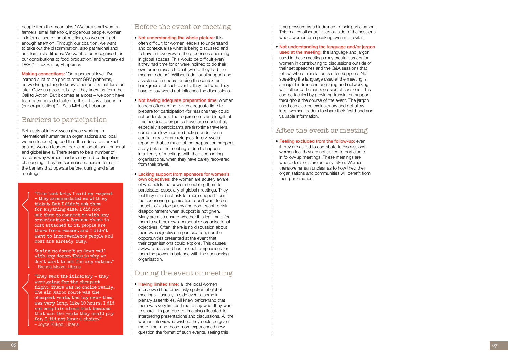people from the mountains.' (We are) small women farmers, small fisherfolk, indigenous people, women in informal sector, small retailers, so we don't get enough attention. Through our coalition, we want to take out the discrimination, also patriarchal and anti-feminist attitudes. We want to be recognised for our contributions to food production, and women-led DRR." – Luz Bador, Philippines

Making connections: "On a personal level, I've learned a lot to be part of other GBV platforms, networking, getting to know other actors that fund us later. Gave us good visibility – they know us from the Call to Action. But it comes at a cost – we don't have team members dedicated to this. This is a luxury for (our organisation)." – Saja Michael, Lebanon

### Barriers to participation

Both sets of interviewees (those working in international humanitarian organisations and local women leaders) agreed that the odds are stacked against women leaders' participation at local, national and global levels. There seem to be a number of reasons why women leaders may find participation challenging. They are summarised here in terms of the barriers that operate before, during and after meetings:

### Before the event or meeting

#### • Not understanding the whole picture: it is

often difficult for women leaders to understand and contextualise what is being discussed and to have an overview of the processes operating in global spaces. This would be difficult even if they had time for or were inclined to do their own online research on it (where they had the means to do so). Without additional support and assistance in understanding the context and background of such events, they feel what they have to say would not influence the discussions.

- Not having adequate preparation time: women leaders often are not given adequate time to prepare for participation (for reasons they could not understand). The requirements and length of time needed to organise travel are substantial, especially if participants are first-time travellers, come from low-income backgrounds, live in conflict areas or are refugees. Interviewees reported that so much of the preparation happens a day before the meeting is due to happen in a frenzy of meetings with their sponsoring organisations, when they have barely recovered from their travel.
- Lacking support from sponsors for women's own objectives: the women are acutely aware of who holds the power in enabling them to participate, especially at global meetings. They feel they could not ask for more support from the sponsoring organisation, don't want to be thought of as too pushy and don't want to risk disappointment when support is not given. Many are also unsure whether it is legitimate for them to set their own personal or organisational objectives. Often, there is no discussion about their own objectives in participation, nor the opportunities presented at the event that their organisations could explore. This causes awkwardness and hesitance. It emphasises for them the power imbalance with the sponsoring organisation.

• Having limited time: all the local women interviewed had previously spoken at global meetings – usually in side events, some in plenary assemblies. All knew beforehand that there was very limited time to say what they want to share – in part due to time also allocated to interpreting presentations and discussions. All the women interviewed wished they could be given more time, and those more experienced now question the format of such events, seeing this

### During the event or meeting

time pressure as a hindrance to their participation. This makes other activities outside of the sessions where women are speaking even more vital.

• Not understanding the language and/or jargon used at the meeting: the language and jargon used in these meetings may create barriers for women in contributing to discussions outside of their set speeches and the Q&A sessions that follow, where translation is often supplied. Not speaking the language used at the meeting is a major hindrance in engaging and networking with other participants outside of sessions. This can be tackled by providing translation support throughout the course of the event. The jargon used can also be exclusionary and not allow local women leaders to share their first-hand and valuable information.

### After the event or meeting

• Feeling excluded from the follow-up: even if they are asked to contribute to discussions, women feel they are not asked to participate in follow-up meetings. These meetings are where decisions are actually taken. Women therefore remain unclear as to how they, their organisations and communities will benefit from their participation.

"This last trip, I said my request – they accommodated me with my ticket. But I didn't ask them for anything else. I did not ask them to connect me with any organisations. Because there is cost attached to it, people are there for a reason, and I didn't want to inconvenience people and most are already busy.

Saying no doesn't go down well with any donor. This is why we don't want to ask for any extras." – Brenda Moore, Liberia

"They sent the itinerary – they were going for the cheapest flight. There was no choice really. The Air Maroc route was the cheapest route, the lay over time was very long, like 10 hours. I did not complain about that because that was the route they could pay for, I did not have a choice." – Joyce Kilikpo, Liberia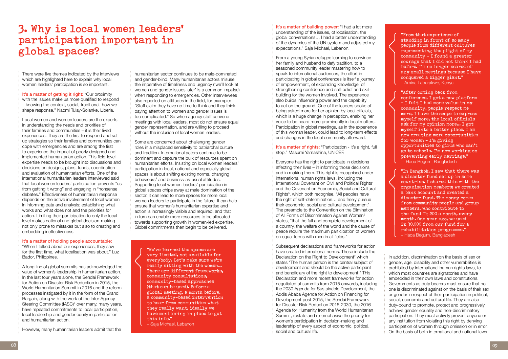## **3. Why is local women leaders' participation important in global spaces?**

There were five themes indicated by the interviews which are highlighted here to explain why local women leaders' participation is so important.

It's a matter of getting it right: "Our proximity" with the issues make us more qualified to respond – knowing the context, social, traditional, how we shape response." Naomi Tulay-Solanke, Liberia.

Local women and women leaders are the experts in understanding the needs and priorities of their families and communities – it is their lived experiences. They are the first to respond and set up strategies so their families and communities can cope with emergencies and are among the first to experience the impact of poorly designed and implemented humanitarian action. This field-level expertise needs to be brought into discussions and decisions on designs, plans, funds, coordination and evaluation of humanitarian efforts. One of the international humanitarian leaders interviewed said that local women leaders' participation prevents "us from getting it wrong" and engaging in "nonsense debates." Effectiveness of humanitarian response depends on the active involvement of local women in informing data and analysis; establishing what works and what does not and the priorities for action. Limiting their participation to only the local level makes national and global decision-making not only prone to mistakes but also to creating and embedding ineffectiveness.

humanitarian sector continues to be male-dominated and gender-blind. Many humanitarian actors misuse the imperative of timeliness and urgency ('we'll look at women and gender issues later' is a common impulse) when responding to emergencies. Other interviewees also reported on attitudes in the field, for example: "Staff claim they have no time to think and they think paying attention to women and gender issues is too complicated." So when agency staff convene meetings with local leaders, most do not ensure equal gender representation, and are willing to proceed without the inclusion of local women leaders.

#### It's a matter of holding people accountable:

"When I talked about our experiences, they saw for the first time, what localisation was about." Luz Bador, Philippines.

A long line of global summits has acknowledged the value of women's leadership in humanitarian action. In the last four years alone, the Sendai Framework for Action on Disaster Risk Reduction in 2015, the World Humanitarian Summit in 2016 and the reform processes instigated by it in the form of the Grand Bargain, along with the work of the Inter-Agency Steering Committee (IASC)<sup>2</sup> over many, many years, have repeated commitments to local participation, local leadership and gender equity in participation and humanitarian action.

It's a matter of building power: "I had a lot more understanding of the issues, of localisation, the global conversations… I had a better understanding of the dynamics of the UN system and adjusted my expectations." Saja Michael, Lebanon.

However, many humanitarian leaders admit that the

It's a matter of rights: "Participation - it's a right, full stop." Masumi Yamashina, UNICEF.

Some are concerned about challenging gender roles in a misplaced sensitivity to patriarchal culture and tradition. International actors continue to be dominant and capture the bulk of resources spent on humanitarian efforts. Insisting on local women leaders' participation in local, national and especially global spaces is about shifting existing norms, changing behaviours<sup>[3](#page-13-2)</sup> and business-as-usual attitudes. Supporting local women leaders' participation in global spaces chips away at male domination of the sector. It can lead to more spaces for more local women leaders to participate in the future. It can help ensure that women's humanitarian expertise and action is increasingly visible and required, and that in turn can enable more resources to be allocated towards supporting growth in women-led expertise. Global commitments then begin to be delivered.

From a young Syrian refugee learning to convince her family and husband to defy tradition, to a seasoned community leader mastering how to speak to international audiences, the effort in participating in global conferences is itself a journey of empowerment, of expanding knowledge, of strengthening confidence and self-belief and skillbuilding for the women involved. The experience also builds influencing power and the capability to act on the ground. One of the leaders spoke of being asked more for her opinion by local officials, which is a huge change in perception, enabling her voice to be heard more prominently in local matters. Participation in global meetings, as in the experience of this woman leader, could lead to long-term effects and changes in the local community afterward.

Everyone has the right to participate in decisions affecting their lives – in informing those decisions and in making them. This right is recognised under international human rights laws, including the International Covenant on Civil and Political Rights<sup>4</sup> and the Covenant on Economic, Social and Cultural Rights<sup>5</sup>, which both recognise, "All peoples have the right of self-determination… and freely pursue their economic, social and cultural development". The preamble to the Convention on the Elimination of All Forms of Discrimination Against Women<sup>6</sup> states, "that the full and complete development of a country, the welfare of the world and the cause of peace require the maximum participation of women on equal terms with men in all fields."

Subsequent declarations and frameworks for action have created international norms. These include the Declaration on the Right to Development<sup>[7](#page-13-6)</sup> which states "The human person is the central subject of development and should be the active participant and beneficiary of the right to development." This Declaration and more recent frameworks for action negotiated at summits from 2015 onwards, including the 2030 Agenda for Sustainable Development, the Addis Ababa Agenda for Action on Financing for Development post-2015, the Sendai Framework for Disaster Risk Reduction 2015-2030, the 2016 Agenda for Humanity from the World Humanitarian Summit, restate and re-emphasise the priority for women's participation in decision-making and leadership of every aspect of economic, political, social and cultural life.

"We've learned the spaces are very limited, not available for everybody. Let's make sure we're really sitting with the women… There are different frameworks. community consultations, community-based approaches (that can be used). Before a global meeting, a month before, a community-based intervention to hear from communities what they really want, ideally we have monitoring in place to get this info."

– Saja Michael, Lebanon

"From that experience of standing in front of so many people from different cultures representing the plight of my community – I found a greater courage that I did not think I had before. I'm no longer scared of any small meetings because I have conquered a bigger giant." – Amina Labarakwe, Kenya

"After coming back from conference, I got a new platform – I felt I had more value in my community, people respect me more, I have the scope to express myself more, the local officials ask for my opinion more… I got myself into a better place. I am now creating more opportunities for women – I'm giving opportunities to girls who can't go to schools. I'm now working on preventing early marriage." – Haoa Begum, Bangladesh

"In Bangkok, I saw that there was a disaster fund set up in some countries. I shared this with the organisation members; we created a bank account and created a disaster fund. The money comes from community people and group members, who contribute to the fund Tk 200 a month, every month. One year ago, we used Tk 30,000 from our fund for a rehabilitation programme." – Haoa Begum, Bangladesh

In addition, discrimination on the basis of sex or gender, age, disability and other vulnerabilities is prohibited by international human rights laws, to which most countries are signatories and have embedded in their own laws and constitutions. Governments as duty bearers must ensure that no one is discriminated against on the basis of their sex or gender in respect of their participation in political, social, economic and cultural life. They are also duty-bound to promote, protect and progressively achieve gender equality and non-discriminatory participation. They must actively prevent anyone or any institution from violating this right by denying participation of women through omission or in error. On the basis of both international and national laws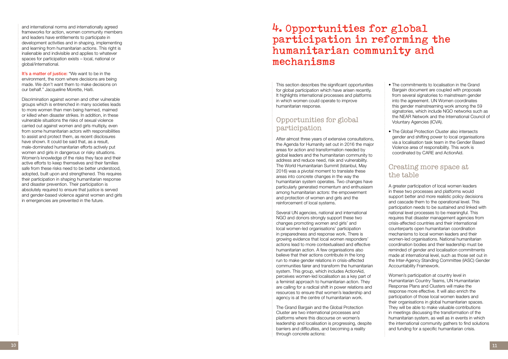and international norms and internationally agreed frameworks for action, women community members and leaders have entitlements to participate in development activities and in shaping, implementing and learning from humanitarian actions. This right is inalienable and indivisible and applies to whatever spaces for participation exists – local, national or global/international.

It's a matter of justice: "We want to be in the environment, the room where decisions are being made. We don't want them to make decisions on our behalf." Jacqueline Morette, Haiti.

Discrimination against women and other vulnerable groups which is entrenched in many societies leads to more women than men being harmed, maimed or killed when disaster strikes. In addition, in these vulnerable situations the risks of sexual violence carried out against women and girls multiply, even from some humanitarian actors with responsibilities to assist and protect them, as recent disclosures have shown. It could be said that, as a result, male-dominated humanitarian efforts actively put women and girls in dangerous or risky situations. Women's knowledge of the risks they face and their active efforts to keep themselves and their families safe from these risks need to be better understood, adopted, built upon and strengthened. This requires their participation in shaping humanitarian response and disaster prevention. Their participation is absolutely required to ensure that justice is served and gender-based violence against women and girls in emergencies are prevented in the future.

## **4. Opportunities for global participation in reforming the humanitarian community and mechanisms**

This section describes the significant opportunities for global participation which have arisen recently. It highlights international processes and platforms in which women could operate to improve humanitarian response.

## Opportunities for global participation

After almost three years of extensive consultations, the Agenda for Humanity set out in 2016 the major areas for action and transformation needed by global leaders and the humanitarian community to address and reduce need, risk and vulnerability. The World Humanitarian Summit (Istanbul, May 2016) was a pivotal moment to translate these areas into concrete changes in the way the humanitarian system operates. Two changes have particularly generated momentum and enthusiasm among humanitarian actors: the empowerment and protection of women and girls and the reinforcement of local systems.

Several UN agencies, national and international NGO and donors strongly support these two changes promoting women and girls' and local women-led organisations' participation in preparedness and response work. There is growing evidence that local women responders' actions lead to more contextualised and effective humanitarian action. A few organisations also believe that their actions contribute in the long run to make gender relations in crisis-affected communities fairer and transform the humanitarian system. This group, which includes ActionAid, perceives women-led localisation as a key part of a feminist approach to humanitarian action. They are calling for a radical shift in power relations and resources to ensure that women's leadership and agency is at the centre of humanitarian work.

The Grand Bargain and the Global Protection Cluster are two international processes and platforms where this discourse on women's leadership and localisation is progressing, despite barriers and difficulties, and becoming a reality through concrete actions:

- The commitments to localisation in the Grand Bargain document are coupled with proposals from several signatories to mainstream gender into the agreement. UN Women coordinates this gender mainstreaming work among the 59 signatories, which include NGO networks such as the NEAR Network and the International Council of Voluntary Agencies (ICVA).
- The Global Protection Cluster also intersects gender and shifting power to local organisations via a localisation task team in the Gender Based Violence area of responsibility. This work is coordinated by CARE and ActionAid.

### Creating more space at the table

A greater participation of local women leaders in these two processes and platforms would support better and more realistic policy decisions and cascade them to the operational level. This participation needs to be sustained and linked with national level processes to be meaningful. This requires that disaster management agencies from crisis-affected countries and their international counterparts open humanitarian coordination mechanisms to local women leaders and their women-led organisations. National humanitarian coordination bodies and their leadership must be reminded of gender and localisation commitments made at international level, such as those set out in the Inter-Agency Standing Committee (IASC) Gender Accountability Framework.

Women's participation at country level in Humanitarian Country Teams, UN Humanitarian Response Plans and Clusters will make the response more effective. It will also enrich the participation of those local women leaders and their organisations in global humanitarian spaces. They will be able to make valuable contributions in meetings discussing the transformation of the humanitarian system, as well as in events in which the international community gathers to find solutions and funding for a specific humanitarian crisis.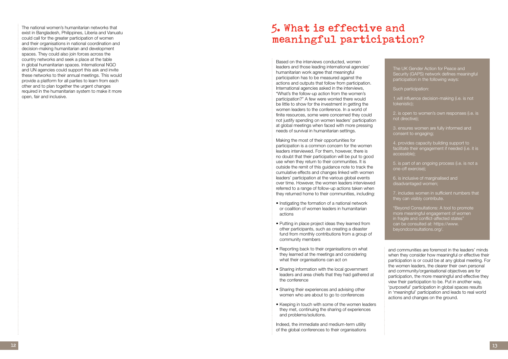The national women's humanitarian networks that exist in Bangladesh, Philippines, Liberia and Vanuatu could call for the greater participation of women and their organisations in national coordination and decision-making humanitarian and development spaces. They could also join forces across the country networks and seek a place at the table in global humanitarian spaces. International NGO and UN agencies could support this ask and invite these networks to their annual meetings. This would provide a platform for all parties to learn from each other and to plan together the urgent changes required in the humanitarian system to make it more open, fair and inclusive.

> Making the most of their opportunities for participation is a common concern for the women leaders interviewed. For them, however, there is no doubt that their participation will be put to good use when they return to their communities. It is outside the remit of this guidance note to track the cumulative effects and changes linked with women leaders' participation at the various global events over time. However, the women leaders interviewed referred to a range of follow-up actions taken when they returned home to their communities, including:<br>• Instigating the formation of a national network

## **5. What is effective and meaningful participation?**

Based on the interviews conducted, women leaders and those leading international agencies' humanitarian work agree that meaningful participation has to be measured against the actions and outputs that follow from participation. International agencies asked in the interviews, "What's the follow-up action from the women's participation?" A few were worried there would be little to show for the investment in getting the women leaders to the conference. In a world of finite resources, some were concerned they could not justify spending on women leaders' participation at global meetings when faced with more pressing needs of survival in humanitarian settings.

- or coalition of women leaders in humanitarian actions
- Putting in place project ideas they learned from other participants, such as creating a disaster fund from monthly contributions from a group of community members
- Reporting back to their organisations on what they learned at the meetings and considering what their organisations can act on
- Sharing information with the local government leaders and area chiefs that they had gathered at the conference
- Sharing their experiences and advising other women who are about to go to conferences
- Keeping in touch with some of the women leaders they met, continuing the sharing of experiences and problems/solutions.

Indeed, the immediate and medium-term utility of the global conferences to their organisations

The UK Gender Action for Peace and Security (GAPS) network defines meaningful participation in the following ways:

Such participation:

1.will influence decision-making (i.e. is not tokenistic);

2. is open to women's own responses (i.e. is not directive);

3. ensures women are fully informed and consent to engaging;

4. provides capacity building support to facilitate their engagement if needed (i.e. it is accessible);

5. is part of an ongoing process (i.e. is not a one-off exercise);

6. is inclusive of marginalised and disadvantaged women;

7. includes women in sufficient numbers that they can visibly contribute.

"Beyond Consultations: A tool to promote more meaningful engagement of women in fragile and conflict-affected states" can be consulted at: https://www. beyondconsultations.org/.

and communities are foremost in the leaders' minds when they consider how meaningful or effective their participation is or could be at any global meeting. For the women leaders, the clearer their own personal and community/organisational objectives are for participation, the more meaningful and effective they view their participation to be. Put in another way, 'purposeful' participation in global spaces results in 'meaningful' participation and leads to real world actions and changes on the ground.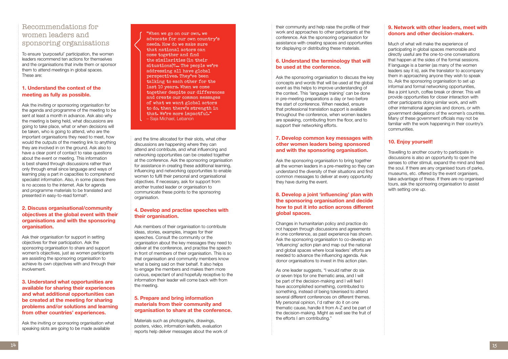## Recommendations for women leaders and sponsoring organisations

Ask the inviting or sponsoring organisation for the agenda and programme of the meeting to be sent at least a month in advance. Ask also why the meeting is being held, what discussions are going to take place, what or when decisions will be taken, who is going to attend, who are the important organisations they need to meet, how would the outputs of the meeting link to anything they are involved in on the ground. Ask also to have a clear point of contact to raise questions about the event or meeting. This information is best shared through discussions rather than only through email since language and ways of learning play a part in capacities to comprehend specialist information. Also, in some places there is no access to the internet. Ask for agenda and programme materials to be translated and presented in easy-to-read format<sup>[8](#page-13-7)</sup>.

To ensure 'purposeful' participation, the women leaders recommend ten actions for themselves and the organisations that invite them or sponsor them to attend meetings in global spaces. These are:

#### **1. Understand the context of the meeting as fully as possible.**

#### **2. Discuss organisational/community objectives at the global event with their organisations and with the sponsoring organisation.**

Ask their organisation for support in setting objectives for their participation. Ask the sponsoring organisation to share and support women's objectives, just as women participants are assisting the sponsoring organisation to achieve its own objectives with and through their involvement.

**3. Understand what opportunities are available for sharing their experiences and what additional opportunities can be created at the meeting for sharing problems and/or solutions and learning from other countries' experiences.** 

Ask the inviting or sponsoring organisation what speaking slots are going to be made available

and the time allocated for their slots, what other discussions are happening where they can attend and contribute, and what influencing and networking opportunities can be created together at the conference. Ask the sponsoring organisation for assistance in creating these additional learning, influencing and networking opportunities to enable women to fulfil their personal and organisational objectives. If necessary, ask for support from another trusted leader or organisation to communicate these points to the sponsoring organisation.

#### **4. Develop and practise speeches with their organisation.**

Ask members of their organisation to contribute ideas, stories, examples, images for their speeches. Consult the community or the organisation about the key messages they need to deliver at the conference, and practise the speech in front of members of their organisation. This is so that organisation and community members know what is being said on their behalf. It also helps to engage the members and makes them more curious, expectant of and hopefully receptive to the information their leader will come back with from the meeting.

#### **5. Prepare and bring information materials from their community and organisation to share at the conference.**

Materials such as photographs, drawings, posters, video, information leaflets, evaluation reports help deliver messages about the work of their community and help raise the profile of their work and approaches to other participants at the conference. Ask the sponsoring organisation for assistance with creating spaces and opportunities for displaying or distributing these materials.

#### **6. Understand the terminology that will be used at the conference.**

Ask the sponsoring organisation to discuss the key concepts and words that will be used at the global event as this helps to improve understanding of the context. This 'language training' can be done in pre-meeting preparations a day or two before the start of conference. When needed, ensure that professional translation support is available throughout the conference, when women leaders are speaking, contributing from the floor, and to support their networking efforts.

#### **7. Develop common key messages with other women leaders being sponsored and with the sponsoring organisation.**

Ask the sponsoring organisation to bring together all the women leaders in a pre-meeting so they can understand the diversity of their situations and find common messages to deliver at every opportunity they have during the event.

#### **8. Develop a joint 'influencing' plan with the sponsoring organisation and decide how to put it into action across different global spaces.**

Changes in humanitarian policy and practice do not happen through discussions and agreements in one conference, as past experience has shown. Ask the sponsoring organisation to co-develop an 'influencing' action plan and map out the national and global spaces where local leaders' efforts are needed to advance the influencing agenda. Ask donor organisations to invest in this action plan.

As one leader suggests, "I would rather do six or seven trips for one thematic area, and I will be part of the decision-making and I will feel I have accomplished something, contributed to something, instead of being tokenised to attend several different conferences on different themes. My personal opinion, I'd rather do it on one thematic cause, handle it from A-Z and be part of the decision-making. Might as well see the fruit of the efforts I am contributing."

#### **9. Network with other leaders, meet with donors and other decision-makers.**

Much of what will make the experience of participating in global spaces memorable and directly useful are the one-to-one conversations that happen at the sides of the formal sessions. If language is a barrier (as many of the women leaders say it is), ask the translator to accompany them in approaching anyone they wish to speak to. Ask the sponsoring organisation to set up informal and formal networking opportunities, like a joint lunch, coffee break or dinner. This will provide opportunities for closer interaction with other participants doing similar work, and with other international agencies and donors, or with government delegations of the women's countries. Many of these government officials may not be familiar with the work happening in their country's communities.

#### **10. Enjoy yourself!**

Travelling to another country to participate in discussions is also an opportunity to open the senses to other stimuli, expand the mind and feed the soul. If there are any organised tours of parks, museums, etc. offered by the event organisers, take advantage of these. If there are no organised tours, ask the sponsoring organisation to assist with setting one up.

"When we go on our own, we advocate for our own country's needs. How do we make sure that national actors can come together and find the similarities (in their situations)?... The people we're addressing all have global perspectives. They've been talking to each other for the last 10 years. When we come together despite our differences and create our common messages of what we want global actors to do, then there's strength in that. We're more impactful." – Saja Michael, Lebanon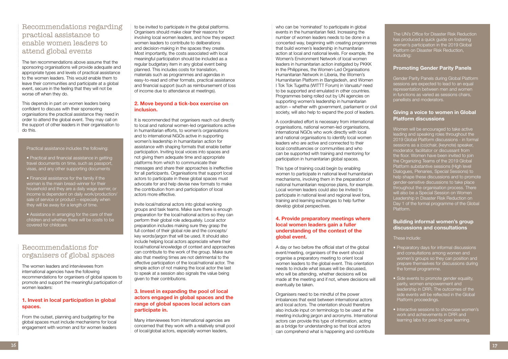## Recommendations regarding practical assistance to enable women leaders to attend global events

The ten recommendations above assume that the sponsoring organisations will provide adequate and appropriate types and levels of practical assistance to the women leaders. This would enable them to leave their communities and participate at a global event, secure in the feeling that they will not be worse off when they do.

This depends in part on women leaders being confident to discuss with their sponsoring organisations the practical assistance they need in order to attend the global event. They may call on the support of other leaders in their organisation to do this.

to be invited to participate in the global platforms. Organisers should make clear their reasons for involving local women leaders, and how they expect women leaders to contribute to deliberations and decision-making in the spaces they create. Most importantly, the costs associated with local meaningful participation should be included as a regular budgetary item in any global event being planned. This includes costs for translation, materials such as programmes and agendas in easy-to-read and other formats, practical assistance and financial support (such as reimbursement of loss of income due to attendance at meetings).

It is recommended that organisers reach out directly to local and national women-led organisations active in humanitarian efforts, to women's organisations and to international NGOs active in supporting women's leadership in humanitarian action for assistance with shaping formats that enable better participation. Inviting local voices into spaces and not giving them adequate time and appropriate platforms from which to communicate their messages and share their approaches is ineffective for all participants. Organisations that support local actors to participate in these global spaces must advocate for and help devise new formats to make the contribution from and participation of local actors more effective.

#### **2. Move beyond a tick-box exercise on inclusion.**

Invite local/national actors into global working groups and task teams. Make sure there is enough preparation for the local/national actors so they can perform their global role adequately. Local actor preparation includes making sure they grasp the full context of their global role and the concepts/ key words/jargon that will be used. It should also include helping local actors appreciate where their local/national knowledge of context and approaches can contribute to the work of the group. Make sure also that meeting times are not detrimental to the effective participation of the local/national actor. The simple action of not making the local actor the last to speak at a session also signals the value being given to their contributions.

#### **3. Invest in expanding the pool of local actors engaged in global spaces and the range of global spaces local actors can participate in.**

Many interviewees from international agencies are concerned that they work with a relatively small pool of local/global actors, especially women leaders,

who can be 'nominated' to participate in global events in the humanitarian field. Increasing the number of women leaders needs to be done in a concerted way, beginning with creating programmes that build women's leadership in humanitarian action at local and national levels. For example, the Women's Environment Network of local women leaders in humanitarian action instigated by PKKK in the Philippines, the Women-Led Organisations Humanitarian Network in Liberia, the Women's Humanitarian Platform in Bangladesh, and Women I Tok Tok Tugetha (WITTT Forum) in Vanuatu<sup>9</sup> need to be supported and emulated in other countries. Programmes being rolled out by UN agencies on supporting women's leadership in humanitarian action – whether with government, parliament or civil society, will also help to expand the pool of leaders.

A coordinated effort is necessary from international organisations, national women-led organisations, international NGOs who work directly with local and national organisations to identify local women leaders who are active and connected to their local constituencies or communities and who can be supported with training and mentoring for participation in humanitarian global spaces.

This type of training could begin by enabling women to participate in national level humanitarian mechanisms, involving them in the preparation of national humanitarian response plans, for example. Local women leaders could also be invited to participate in national level and regional level fora, training and learning exchanges to help further develop global perspectives.

#### **4. Provide preparatory meetings where local women leaders gain a fuller understanding of the context of the global event.**

A day or two before the official start of the global event/meeting, organisers of the event should organise a preparatory meeting to orient local women leaders to the global event. This orientation needs to include what issues will be discussed, who will be attending, whether decisions will be made at the meeting and if not, where decisions will eventually be taken.

Organisers need to be mindful of the power imbalances that exist between international actors and local actors. The orientation should therefore also include input on terminology to be used at the meeting including jargon and acronyms. International actors can provide this type of information, acting as a bridge for understanding so that local actors can comprehend what is happening and contribute

The UN's Office for Disaster Risk Reduction has produced a quick guide on fostering women's participation in the 2019 Global Platform on Disaster Risk Reduction, including:

#### **Promoting Gender Parity Panels**

Gender Parity Panels during Global Platform sessions are expected to lead to an equal representation between men and women in functions as varied as sessions chairs, panellists and moderators.

#### **Giving a voice to women in Global Platform discussions**

Women will be encouraged to take active leading and speaking roles throughout the 2019 Global Platform discussions - in formal sessions as a (co)chair, (keynote) speaker, moderator, facilitator or discussant from the floor. Women have been invited to join the Organizing Teams of the 2019 Global Platform substantive sessions (High level Dialogues, Plenaries, Special Sessions) to help shape these discussions and to promote gender-sensitive discussions to take place throughout the organisation process. There will also be a Special Session on Women Leadership in Disaster Risk Reduction on Day 1 of the formal programme of the Global Platform.

#### **Building informal women's group discussions and consultations**

These include:

- Preparatory days for informal discussions and consultations among women and women's groups so they can position and prepare themselves for discussions during the formal programme.
- Side events to promote gender equality, parity, women empowerment and leadership in DRR. The outcomes of the side events will be reflected in the Global Platform proceedings.
- Interactive sessions to showcase women's work and achievements in DRR and learning labs for peer-to-peer learning.

#### Practical assistance includes the following:

- Practical and financial assistance in getting travel documents on time, such as passport, visas, and any other supporting documents
- Financial assistance for the family if the woman is the main bread-winner for their household and they are a daily wage earner, or income is dependent on daily work/production/ sale of service or product – especially when they will be away for a length of time.
- Assistance in arranging for the care of their children and whether there will be costs to be covered for childcare.

## Recommendations for organisers of global spaces

The women leaders and interviewees from international agencies have the following recommendations for organisers of global spaces to promote and support the meaningful participation of women leaders:

#### **1. Invest in local participation in global spaces.**

From the outset, planning and budgeting for the global spaces must include mechanisms for local engagement with women and for women leaders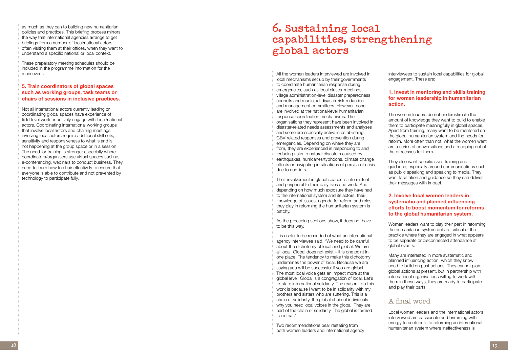as much as they can to building new humanitarian policies and practices. This briefing process mirrors the way that international agencies arrange to get briefings from a number of local/national actors, often visiting them at their offices, when they want to understand a specific national or local context.

These preparatory meeting schedules should be included in the programme information for the main event.

#### **5. Train coordinators of global spaces such as working groups, task teams or chairs of sessions in inclusive practices.**

Not all international actors currently leading or coordinating global spaces have experience of field-level work or actively engage with local/national actors. Coordinating international working groups that involve local actors and chairing meetings involving local actors require additional skill sets, sensitivity and responsiveness to what is and is not happening at the group space or in a session. The need for training is stronger especially where coordinators/organisers use virtual spaces such as e-conferencing, webinars to conduct business. They need to learn how to chair effectively to ensure that everyone is able to contribute and not prevented by technology to participate fully.

## **6. Sustaining local capabilities, strengthening global actors**

All the women leaders interviewed are involved in local mechanisms set up by their governments to coordinate humanitarian response during emergencies, such as local cluster meetings, village administration-level disaster preparedness councils and municipal disaster risk reduction and management committees. However, none are involved at the national-level humanitarian response coordination mechanisms. The organisations they represent have been involved in disaster-related needs assessments and analyses and some are especially active in establishing GBV-related responses and prevention during emergencies. Depending on where they are from, they are experienced in responding to and reducing risks to natural disasters caused by earthquakes, hurricanes/typhoons, climate change effects or navigating in situations of persistent crisis due to conflicts.

Their involvement in global spaces is intermittent and peripheral to their daily lives and work. And depending on how much exposure they have had to the international system and its actors, their knowledge of issues, agenda for reform and roles they play in reforming the humanitarian system is patchy.

As the preceding sections show, it does not have to be this way.

It is useful to be reminded of what an international agency interviewee said, "We need to be careful about the dichotomy of local and global. We are all local. Global does not exist – it is one point in one place. The tendency to make this dichotomy undermines the power of local. Because we are saying you will be successful if you are global. The most local voice gets an impact more at the global level. Global is a congregation of local. Let's re-state international solidarity. The reason I do this work is because I want to be in solidarity with my brothers and sisters who are suffering. This is a chain of solidarity, the global chain of individuals – why you need local voices in the global. They are part of the chain of solidarity. The global is formed from that."

Two recommendations bear restating from both women leaders and international agency

interviewees to sustain local capabilities for global engagement. These are:

#### **1. Invest in mentoring and skills training for women leadership in humanitarian action.**

The women leaders do not underestimate the amount of knowledge they want to build to enable them to participate meaningfully in global spaces. Apart from training, many want to be mentored on the global humanitarian system and the needs for reform. More often than not, what the women want are a series of conversations and a mapping out of the processes for them.

They also want specific skills training and guidance, especially around communications such as public speaking and speaking to media. They want facilitation and guidance so they can deliver their messages with impact.

#### **2. Involve local women leaders in systematic and planned influencing efforts to boost momentum for reforms to the global humanitarian system.**

Women leaders want to play their part in reforming the humanitarian system but are critical of the practice where they are engaged in what appears to be separate or disconnected attendance at global events.

Many are interested in more systematic and planned influencing action, which they know need to build on past actions. They cannot plan global actions at present, but in partnership with international organisations willing to work with them in these ways, they are ready to participate and play their parts.

## A final word

Local women leaders and the international actors interviewed are passionate and brimming with energy to contribute to reforming an international humanitarian system where ineffectiveness is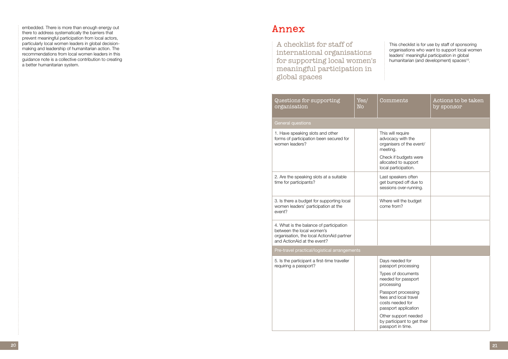This checklist is for use by staff of sponsoring organisations who want to support local women leaders' meaningful participation in global humanitarian (and development) spaces<sup>10</sup>.

embedded. There is more than enough energy out there to address systematically the barriers that prevent meaningful participation from local actors, particularly local women leaders in global decisionmaking and leadership of humanitarian action. The recommendations from local women leaders in this guidance note is a collective contribution to creating a better humanitarian system.

## **Annex**

| Questions for supporting<br>organisation                                                                                                         | Yes/<br>No | Comments                                                                                                                                                | Actions to be taken<br>by sponsor |  |
|--------------------------------------------------------------------------------------------------------------------------------------------------|------------|---------------------------------------------------------------------------------------------------------------------------------------------------------|-----------------------------------|--|
| <b>General questions</b>                                                                                                                         |            |                                                                                                                                                         |                                   |  |
| 1. Have speaking slots and other<br>forms of participation been secured for<br>women leaders?                                                    |            | This will require<br>advocacy with the<br>organisers of the event/<br>meeting.<br>Check if budgets were<br>allocated to support<br>local participation. |                                   |  |
| 2. Are the speaking slots at a suitable<br>time for participants?                                                                                |            | Last speakers often<br>get bumped off due to<br>sessions over-running.                                                                                  |                                   |  |
| 3. Is there a budget for supporting local<br>women leaders' participation at the<br>event?                                                       |            | Where will the budget<br>come from?                                                                                                                     |                                   |  |
| 4. What is the balance of participation<br>between the local women's<br>organisation, the local ActionAid partner<br>and ActionAid at the event? |            |                                                                                                                                                         |                                   |  |
| Pre-travel practical/logistical arrangements                                                                                                     |            |                                                                                                                                                         |                                   |  |
| 5. Is the participant a first-time traveller<br>requiring a passport?                                                                            |            | Days needed for<br>passport processing                                                                                                                  |                                   |  |
|                                                                                                                                                  |            | Types of documents<br>needed for passport<br>processing                                                                                                 |                                   |  |
|                                                                                                                                                  |            | Passport processing<br>fees and local travel<br>costs needed for<br>passport application                                                                |                                   |  |
|                                                                                                                                                  |            | Other support needed<br>by participant to get their<br>passport in time.                                                                                |                                   |  |

A checklist for staff of international organisations for supporting local women's meaningful participation in global spaces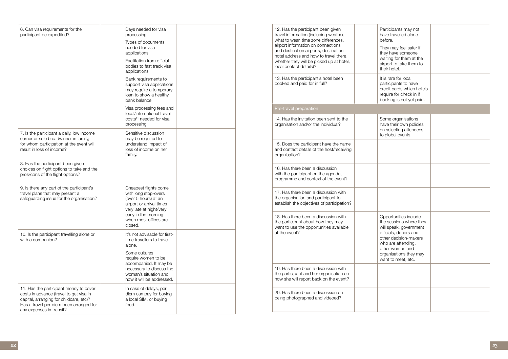| 6. Can visa requirements for the<br>participant be expedited?                                                                                                                                       | Days needed for visa<br>processing<br>Types of documents<br>needed for visa<br>applications<br>Facilitation from official<br>bodies to fast track visa<br>applications<br>Bank requirements to<br>support visa applications<br>may require a temporary<br>loan to show a healthy<br>bank balance |  |
|-----------------------------------------------------------------------------------------------------------------------------------------------------------------------------------------------------|--------------------------------------------------------------------------------------------------------------------------------------------------------------------------------------------------------------------------------------------------------------------------------------------------|--|
|                                                                                                                                                                                                     | Visa processing fees and<br>local/international travel<br>costs <sup>11</sup> needed for visa<br>processing                                                                                                                                                                                      |  |
| 7. Is the participant a daily, low income<br>earner or sole breadwinner in family,<br>for whom participation at the event will<br>result in loss of income?                                         | Sensitive discussion<br>may be required to<br>understand impact of<br>loss of income on her<br>family.                                                                                                                                                                                           |  |
| 8. Has the participant been given<br>choices on flight options to take and the<br>pros/cons of the flight options?                                                                                  |                                                                                                                                                                                                                                                                                                  |  |
| 9. Is there any part of the participant's<br>travel plans that may present a<br>safeguarding issue for the organisation?                                                                            | Cheapest flights come<br>with long stop-overs<br>(over 5 hours) at an<br>airport or arrival times<br>very late at night/very<br>early in the morning<br>when most offices are<br>closed.                                                                                                         |  |
| 10. Is the participant travelling alone or<br>with a companion?                                                                                                                                     | It's not advisable for first-<br>time travellers to travel<br>alone.<br>Some cultures<br>require women to be<br>accompanied. It may be<br>necessary to discuss the<br>woman's situation and<br>how it will be addressed.                                                                         |  |
| 11. Has the participant money to cover<br>costs in advance (travel to get visa in<br>capital, arranging for childcare, etc)?<br>Has a travel per diem been arranged for<br>any expenses in transit? | In case of delays, per<br>diem can pay for buying<br>a local SIM, or buying<br>food.                                                                                                                                                                                                             |  |

| 12. Has the participant been given<br>travel information (including weather,<br>what to wear, time zone differences,<br>airport information on connections<br>and destination airports, destination<br>hotel address and how to travel there,<br>whether they will be picked up at hotel,<br>local contact details)? | Pε<br>ha<br>be<br>Th<br>th<br>Wέ<br>air<br>th         |
|----------------------------------------------------------------------------------------------------------------------------------------------------------------------------------------------------------------------------------------------------------------------------------------------------------------------|-------------------------------------------------------|
| 13. Has the participant's hotel been<br>booked and paid for in full?                                                                                                                                                                                                                                                 | lt i<br>pa<br>Cr<br>re<br>bc                          |
| Pre-travel preparation                                                                                                                                                                                                                                                                                               |                                                       |
| 14. Has the invitation been sent to the<br>organisation and/or the individual?                                                                                                                                                                                                                                       | Sc<br>ha<br>or<br>to                                  |
| 15. Does the participant have the name<br>and contact details of the host/receiving<br>organisation?                                                                                                                                                                                                                 |                                                       |
| 16. Has there been a discussion<br>with the participant on the agenda,<br>programme and context of the event?                                                                                                                                                                                                        |                                                       |
| 17. Has there been a discussion with<br>the organisation and participant to<br>establish the objectives of participation?                                                                                                                                                                                            |                                                       |
| 18. Has there been a discussion with<br>the participant about how they may<br>want to use the opportunities available<br>at the event?                                                                                                                                                                               | Оŗ<br>th<br>wi<br>оff<br>otl<br>wł<br>otl<br>or<br>Wέ |
| 19. Has there been a discussion with<br>the participant and her organisation on<br>how she will report back on the event?                                                                                                                                                                                            |                                                       |
| 20. Has there been a discussion on<br>being photographed and videoed?                                                                                                                                                                                                                                                |                                                       |
|                                                                                                                                                                                                                                                                                                                      |                                                       |

| Participants may not<br>have travelled alone<br>before.                                                                                                                                                               |  |
|-----------------------------------------------------------------------------------------------------------------------------------------------------------------------------------------------------------------------|--|
| They may feel safer if<br>they have someone<br>waiting for them at the<br>airport to take them to<br>their hotel.                                                                                                     |  |
| It is rare for local<br>participants to have<br>credit cards which hotels<br>require for check in if<br>booking is not yet paid.                                                                                      |  |
|                                                                                                                                                                                                                       |  |
| Some organisations<br>have their own policies<br>on selecting attendees<br>to global events.                                                                                                                          |  |
|                                                                                                                                                                                                                       |  |
|                                                                                                                                                                                                                       |  |
|                                                                                                                                                                                                                       |  |
| Opportunities include<br>the sessions where they<br>will speak, government<br>officials, donors and<br>other decision-makers<br>who are attending,<br>other women and<br>organisations they may<br>want to meet, etc. |  |
|                                                                                                                                                                                                                       |  |
|                                                                                                                                                                                                                       |  |
|                                                                                                                                                                                                                       |  |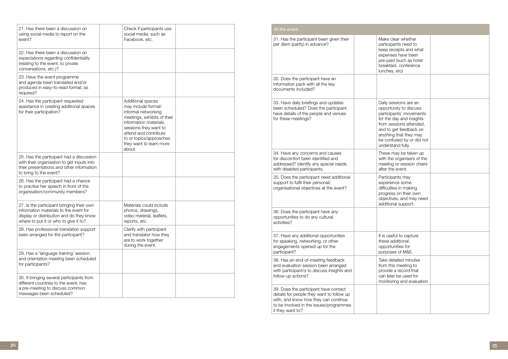| 21. Has there been a discussion on<br>using social media to report on the<br>event?                                                                                      | Check if participants use<br>social media, such as<br>Facebook, etc.                                                                                                                                                                       |  |
|--------------------------------------------------------------------------------------------------------------------------------------------------------------------------|--------------------------------------------------------------------------------------------------------------------------------------------------------------------------------------------------------------------------------------------|--|
| 22. Has there been a discussion on<br>expectations regarding confidentiality<br>(relating to the event, to private<br>conversations, etc.)?                              |                                                                                                                                                                                                                                            |  |
| 23. Have the event programme<br>and agenda been translated and/or<br>produced in easy-to-read format, as<br>required?                                                    |                                                                                                                                                                                                                                            |  |
| 24. Has the participant requested<br>assistance in creating additional spaces<br>for their participation?                                                                | Additional spaces<br>may include formal/<br>informal networking<br>meetings, exhibits of their<br>information materials,<br>sessions they want to<br>attend and contribute<br>to or topics/approaches<br>they want to learn more<br>about. |  |
| 25. Has the participant had a discussion<br>with their organisation to get inputs into<br>their presentations and other information<br>to bring to the event?            |                                                                                                                                                                                                                                            |  |
| 26. Has the participant had a chance<br>to practise her speech in front of the<br>organisation/community members?                                                        |                                                                                                                                                                                                                                            |  |
| 27. Is the participant bringing their own<br>information materials to the event for<br>display or distribution and do they know<br>where to put it or who to give it to? | Materials could include<br>photos, drawings,<br>video material, leaflets,<br>reports, etc.                                                                                                                                                 |  |
| 28. Has professional translation support<br>been arranged for the participant?                                                                                           | Clarify with participant<br>and translator how they<br>are to work together<br>during the event.                                                                                                                                           |  |
| 29. Has a 'language training' session<br>and orientation meeting been scheduled<br>for participants?                                                                     |                                                                                                                                                                                                                                            |  |
| 30. If bringing several participants from<br>different countries to the event, has<br>a pre-meeting to discuss common<br>messages been scheduled?                        |                                                                                                                                                                                                                                            |  |

| Make clear whether<br>participants need to<br>keep receipts and what<br>expenses have been<br>pre-paid (such as hotel<br>breakfast, conference<br>lunches, etc)                                                                         |  |
|-----------------------------------------------------------------------------------------------------------------------------------------------------------------------------------------------------------------------------------------|--|
|                                                                                                                                                                                                                                         |  |
| Daily sessions are an<br>opportunity to discuss<br>participants' movements<br>for the day and insights<br>from sessions attended,<br>and to get feedback on<br>anything that they may<br>be confused by or did not<br>understand fully. |  |
| These may be taken up<br>with the organisers of the<br>meeting or session chairs<br>after the event.                                                                                                                                    |  |
| Participants may<br>experience some<br>difficulties in making<br>progress on their own<br>objectives, and may need<br>additional support.                                                                                               |  |
|                                                                                                                                                                                                                                         |  |
| It is useful to capture<br>these additional<br>opportunities for<br>purposes of M&E.                                                                                                                                                    |  |
| Take detailed minutes<br>from this meeting to<br>provide a record that<br>can later be used for<br>monitoring and evaluation                                                                                                            |  |
|                                                                                                                                                                                                                                         |  |

| 31. Has the participant been given their<br>per diem (partly) in advance?                                                                                                                 | exp<br>lun                                            |
|-------------------------------------------------------------------------------------------------------------------------------------------------------------------------------------------|-------------------------------------------------------|
| 32. Does the participant have an<br>information pack with all the key<br>documents included?                                                                                              |                                                       |
| 33. Have daily briefings and updates<br>been scheduled? Does the participant<br>have details of the people and venues<br>for these meetings?                                              | Dai<br>opr<br>for<br>fror<br>and<br>any<br><b>und</b> |
| 34. Have any concerns and causes<br>for discomfort been identified and<br>addressed? Identify any special needs<br>with disabled participants.                                            | The<br>witl<br>me<br>afte                             |
| 35. Does the participant need additional<br>support to fulfil their personal/<br>organisational objectives at the event?                                                                  | Par<br>exp<br>obj<br>add                              |
| 36. Does the participant have any<br>opportunities to do any cultural<br>activities?                                                                                                      |                                                       |
| 37. Have any additional opportunities<br>for speaking, networking, or other<br>engagements opened up for the<br>participant?                                                              | It is<br>the<br>opr                                   |
| 38. Has an end-of-meeting feedback<br>and evaluation session been arranged<br>with participant/s to discuss insights and<br>follow-up actions?                                            | Tak<br>fror                                           |
| 39. Does the participant have contact<br>details for people they want to follow up<br>with, and know how they can continue<br>to be involved in the issues/programmes<br>if they want to? |                                                       |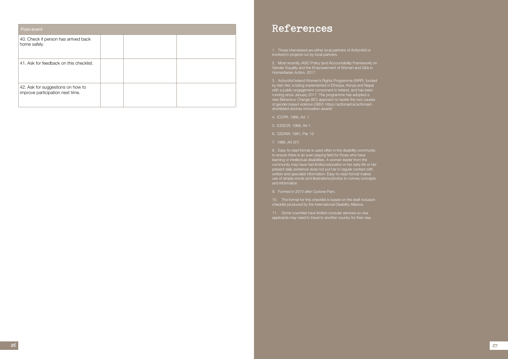| Post-event                                                            |  |  |
|-----------------------------------------------------------------------|--|--|
| 40. Check if person has arrived back<br>home safely.                  |  |  |
| 41. Ask for feedback on this checklist.                               |  |  |
| 42. Ask for suggestions on how to<br>improve participation next time. |  |  |

<span id="page-13-0"></span>1. Those interviewed are either local partners of ActionAid or involved in projects run by local partners.

<span id="page-13-1"></span>2. Most recently, IASC Policy (and Accountability Framework) on Gender Equality and the Empowerment of Women and Girls in Humanitarian Action, 2017.

<span id="page-13-2"></span>3. ActionAid Ireland Women's Rights Programme (WRP), funded by Irish Aid, is being implemented in Ethiopia, Kenya and Nepal with a public engagement component in Ireland, and has been running since January 2017. The programme has adopted a new Behaviour Change (BC) approach to tackle the root causes of gender-based violence (GBV): https://actionaid.ie/actionaidshortlisted-dochas-innovation-award/

- <span id="page-13-3"></span>4. ICCPR, 1966, Art. 1
- <span id="page-13-4"></span>5. ICESCR, 1966, Art 1
- <span id="page-13-5"></span>6. CEDAW, 1981, Par. 12
- <span id="page-13-6"></span>7. 1986, Art 2(1)

<span id="page-13-7"></span>8. Easy-to-read format is used often in the disability community to ensure there is an even playing field for those who have learning or intellectual disabilities. A woman leader from the community may have had limited education in her early life or her present daily existence does not put her in regular contact with written and specialist information. Easy-to-read format makes use of simple words and illustrations/photos to convey concepts and information.

<span id="page-13-8"></span>9. Formed in 2015 after Cyclone Pam.

<span id="page-13-9"></span>10. The format for this checklist is based on the draft inclusion checklist produced by the International Disability Alliance.

<span id="page-13-10"></span>11. Some countries have limited consular services so visa applicants may need to travel to another country for their visa.

## **References**

**27**